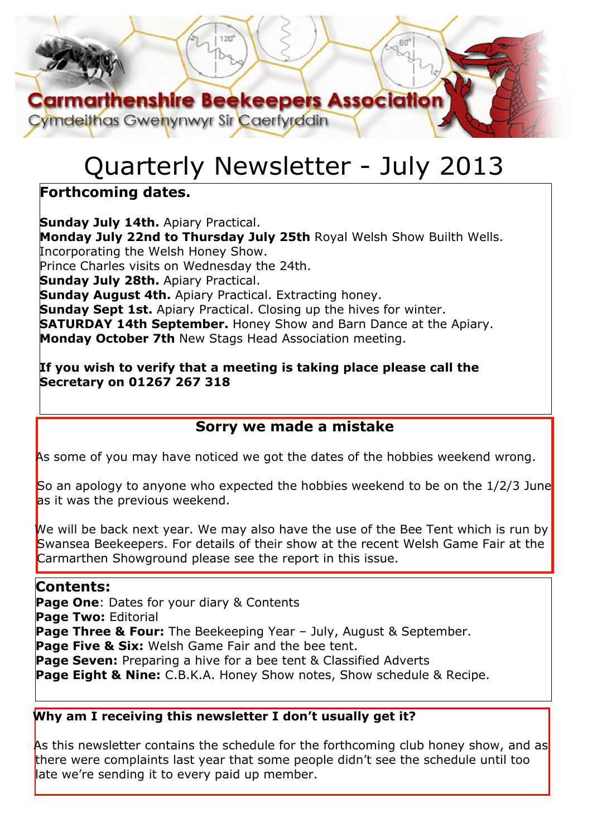# **Carmarthenshire Beekeepers Association** Cymdeithas Gwenynwyr Sir Caerfyrddin

# Quarterly Newsletter - July 2013

# **Forthcoming dates.**

**Sunday July 14th.** Apiary Practical. **Monday July 22nd to Thursday July 25th** Royal Welsh Show Builth Wells. Incorporating the Welsh Honey Show. Prince Charles visits on Wednesday the 24th. **Sunday July 28th.** Apiary Practical. **Sunday August 4th.** Apiary Practical. Extracting honey. **Sunday Sept 1st.** Apiary Practical. Closing up the hives for winter. **SATURDAY 14th September.** Honey Show and Barn Dance at the Apiary. **Monday October 7th** New Stags Head Association meeting.

#### **If you wish to verify that a meeting is taking place please call the Secretary on 01267 267 318**

## **Sorry we made a mistake**

As some of you may have noticed we got the dates of the hobbies weekend wrong.

So an apology to anyone who expected the hobbies weekend to be on the 1/2/3 June as it was the previous weekend.

We will be back next year. We may also have the use of the Bee Tent which is run by Swansea Beekeepers. For details of their show at the recent Welsh Game Fair at the Carmarthen Showground please see the report in this issue.

#### **Contents:**

**Page One**: Dates for your diary & Contents **Page Two:** Editorial **Page Three & Four:** The Beekeeping Year - July, August & September. **Page Five & Six:** Welsh Game Fair and the bee tent. **Page Seven:** Preparing a hive for a bee tent & Classified Adverts **Page Eight & Nine:** C.B.K.A. Honey Show notes, Show schedule & Recipe.

#### **Why am I receiving this newsletter I don't usually get it?**

As this newsletter contains the schedule for the forthcoming club honey show, and as there were complaints last year that some people didn't see the schedule until too late we're sending it to every paid up member.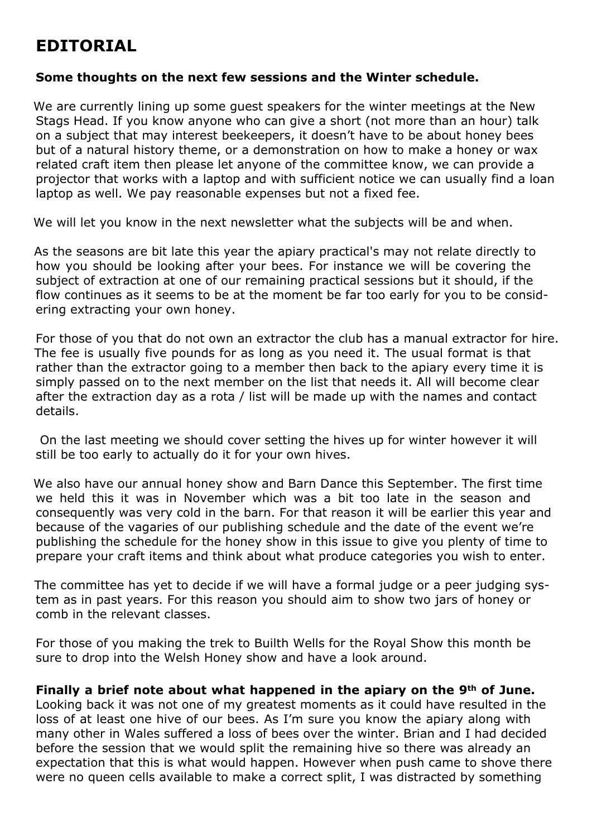# **EDITORIAL**

#### **Some thoughts on the next few sessions and the Winter schedule.**

We are currently lining up some quest speakers for the winter meetings at the New Stags Head. If you know anyone who can give a short (not more than an hour) talk on a subject that may interest beekeepers, it doesn't have to be about honey bees but of a natural history theme, or a demonstration on how to make a honey or wax related craft item then please let anyone of the committee know, we can provide a projector that works with a laptop and with sufficient notice we can usually find a loan laptop as well. We pay reasonable expenses but not a fixed fee.

We will let you know in the next newsletter what the subjects will be and when.

As the seasons are bit late this year the apiary practical's may not relate directly to how you should be looking after your bees. For instance we will be covering the subject of extraction at one of our remaining practical sessions but it should, if the flow continues as it seems to be at the moment be far too early for you to be considering extracting your own honey.

For those of you that do not own an extractor the club has a manual extractor for hire. The fee is usually five pounds for as long as you need it. The usual format is that rather than the extractor going to a member then back to the apiary every time it is simply passed on to the next member on the list that needs it. All will become clear after the extraction day as a rota / list will be made up with the names and contact details.

 On the last meeting we should cover setting the hives up for winter however it will still be too early to actually do it for your own hives.

We also have our annual honey show and Barn Dance this September. The first time we held this it was in November which was a bit too late in the season and consequently was very cold in the barn. For that reason it will be earlier this year and because of the vagaries of our publishing schedule and the date of the event we're publishing the schedule for the honey show in this issue to give you plenty of time to prepare your craft items and think about what produce categories you wish to enter.

The committee has yet to decide if we will have a formal judge or a peer judging system as in past years. For this reason you should aim to show two jars of honey or comb in the relevant classes.

For those of you making the trek to Builth Wells for the Royal Show this month be sure to drop into the Welsh Honey show and have a look around.

#### **Finally a brief note about what happened in the apiary on the 9th of June.**

Looking back it was not one of my greatest moments as it could have resulted in the loss of at least one hive of our bees. As I'm sure you know the apiary along with many other in Wales suffered a loss of bees over the winter. Brian and I had decided before the session that we would split the remaining hive so there was already an expectation that this is what would happen. However when push came to shove there were no queen cells available to make a correct split, I was distracted by something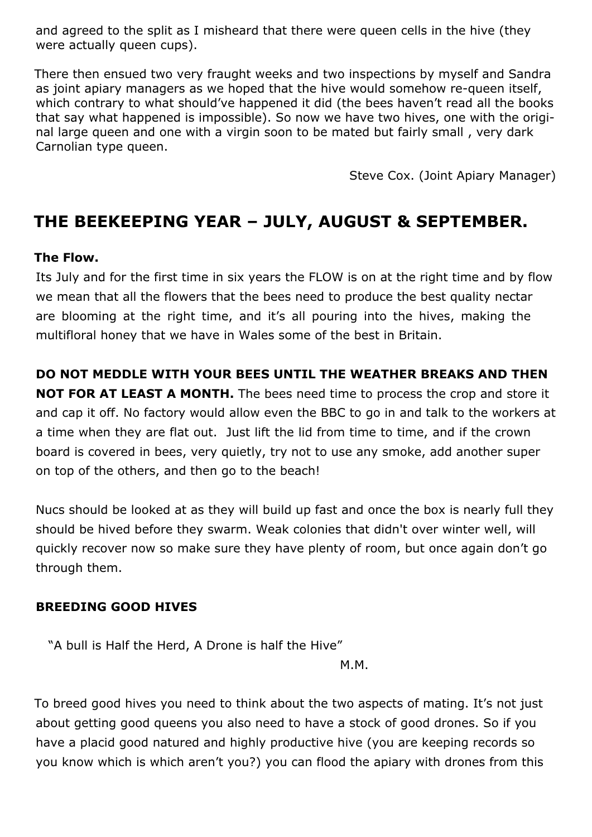and agreed to the split as I misheard that there were queen cells in the hive (they were actually queen cups).

There then ensued two very fraught weeks and two inspections by myself and Sandra as joint apiary managers as we hoped that the hive would somehow re-queen itself, which contrary to what should've happened it did (the bees haven't read all the books that say what happened is impossible). So now we have two hives, one with the original large queen and one with a virgin soon to be mated but fairly small , very dark Carnolian type queen.

Steve Cox. (Joint Apiary Manager)

# **THE BEEKEEPING YEAR – JULY, AUGUST & SEPTEMBER.**

#### **The Flow.**

Its July and for the first time in six years the FLOW is on at the right time and by flow we mean that all the flowers that the bees need to produce the best quality nectar are blooming at the right time, and it's all pouring into the hives, making the multifloral honey that we have in Wales some of the best in Britain.

#### **DO NOT MEDDLE WITH YOUR BEES UNTIL THE WEATHER BREAKS AND THEN**

**NOT FOR AT LEAST A MONTH.** The bees need time to process the crop and store it and cap it off. No factory would allow even the BBC to go in and talk to the workers at a time when they are flat out. Just lift the lid from time to time, and if the crown board is covered in bees, very quietly, try not to use any smoke, add another super on top of the others, and then go to the beach!

Nucs should be looked at as they will build up fast and once the box is nearly full they should be hived before they swarm. Weak colonies that didn't over winter well, will quickly recover now so make sure they have plenty of room, but once again don't go through them.

#### **BREEDING GOOD HIVES**

"A bull is Half the Herd, A Drone is half the Hive"

M.M.

To breed good hives you need to think about the two aspects of mating. It's not just about getting good queens you also need to have a stock of good drones. So if you have a placid good natured and highly productive hive (you are keeping records so you know which is which aren't you?) you can flood the apiary with drones from this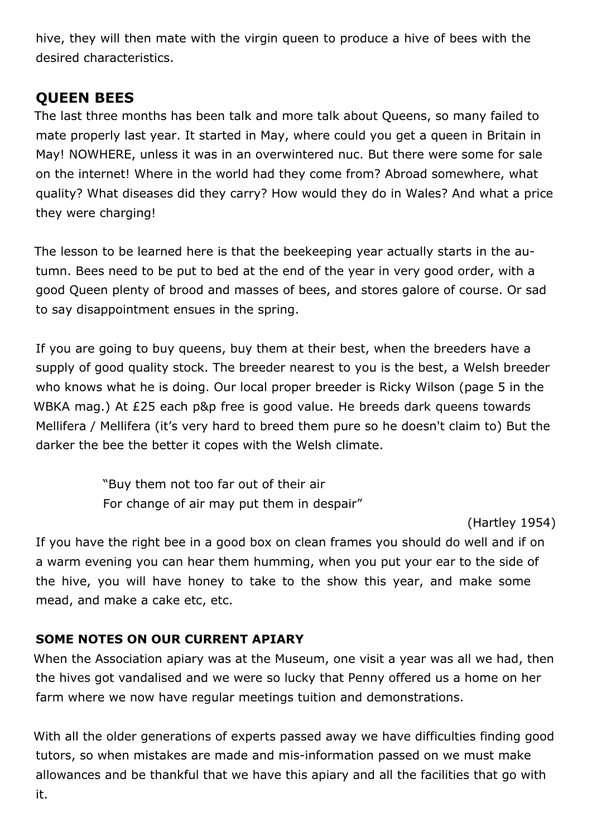hive, they will then mate with the virgin queen to produce a hive of bees with the desired characteristics.

#### **QUEEN BEES**

The last three months has been talk and more talk about Queens, so many failed to mate properly last year. It started in May, where could you get a queen in Britain in May! NOWHERE, unless it was in an overwintered nuc. But there were some for sale on the internet! Where in the world had they come from? Abroad somewhere, what quality? What diseases did they carry? How would they do in Wales? And what a price they were charging!

The lesson to be learned here is that the beekeeping year actually starts in the autumn. Bees need to be put to bed at the end of the year in very good order, with a good Queen plenty of brood and masses of bees, and stores galore of course. Or sad to say disappointment ensues in the spring.

If you are going to buy queens, buy them at their best, when the breeders have a supply of good quality stock. The breeder nearest to you is the best, a Welsh breeder who knows what he is doing. Our local proper breeder is Ricky Wilson (page 5 in the WBKA mag.) At £25 each p&p free is good value. He breeds dark queens towards Mellifera / Mellifera (it's very hard to breed them pure so he doesn't claim to) But the darker the bee the better it copes with the Welsh climate.

> "Buy them not too far out of their air For change of air may put them in despair"

> > (Hartley 1954)

If you have the right bee in a good box on clean frames you should do well and if on a warm evening you can hear them humming, when you put your ear to the side of the hive, you will have honey to take to the show this year, and make some mead, and make a cake etc, etc.

#### **SOME NOTES ON OUR CURRENT APIARY**

When the Association apiary was at the Museum, one visit a year was all we had, then the hives got vandalised and we were so lucky that Penny offered us a home on her farm where we now have regular meetings tuition and demonstrations.

With all the older generations of experts passed away we have difficulties finding good tutors, so when mistakes are made and mis-information passed on we must make allowances and be thankful that we have this apiary and all the facilities that go with it.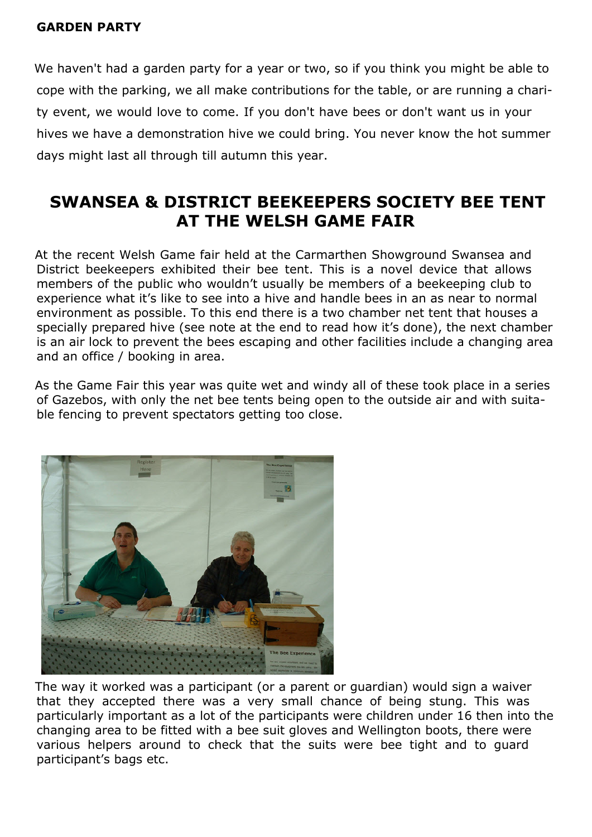#### **GARDEN PARTY**

We haven't had a garden party for a year or two, so if you think you might be able to cope with the parking, we all make contributions for the table, or are running a charity event, we would love to come. If you don't have bees or don't want us in your hives we have a demonstration hive we could bring. You never know the hot summer days might last all through till autumn this year.

# **SWANSEA & DISTRICT BEEKEEPERS SOCIETY BEE TENT AT THE WELSH GAME FAIR**

At the recent Welsh Game fair held at the Carmarthen Showground Swansea and District beekeepers exhibited their bee tent. This is a novel device that allows members of the public who wouldn't usually be members of a beekeeping club to experience what it's like to see into a hive and handle bees in an as near to normal environment as possible. To this end there is a two chamber net tent that houses a specially prepared hive (see note at the end to read how it's done), the next chamber is an air lock to prevent the bees escaping and other facilities include a changing area and an office / booking in area.

As the Game Fair this year was quite wet and windy all of these took place in a series of Gazebos, with only the net bee tents being open to the outside air and with suitable fencing to prevent spectators getting too close.



The way it worked was a participant (or a parent or guardian) would sign a waiver that they accepted there was a very small chance of being stung. This was particularly important as a lot of the participants were children under 16 then into the changing area to be fitted with a bee suit gloves and Wellington boots, there were various helpers around to check that the suits were bee tight and to guard participant's bags etc.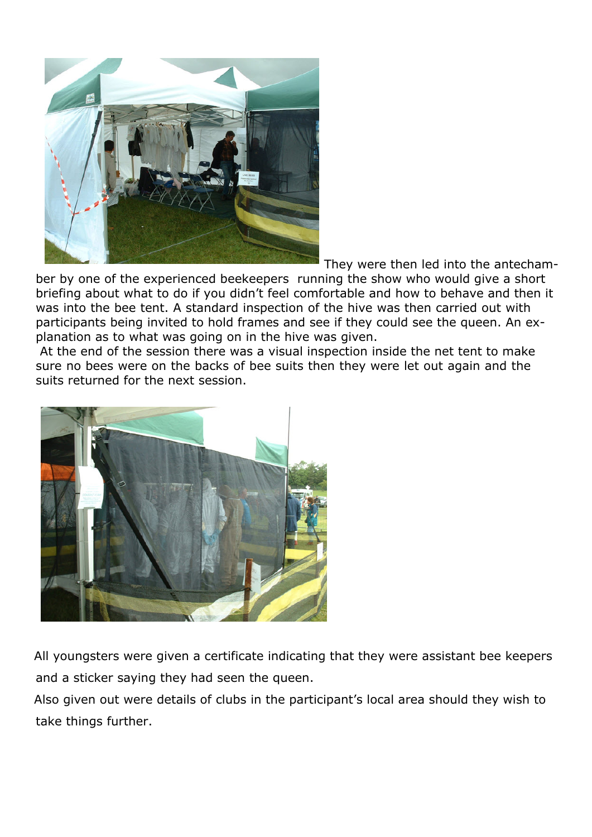

They were then led into the antecham-

ber by one of the experienced beekeepers running the show who would give a short briefing about what to do if you didn't feel comfortable and how to behave and then it was into the bee tent. A standard inspection of the hive was then carried out with participants being invited to hold frames and see if they could see the queen. An explanation as to what was going on in the hive was given.

 At the end of the session there was a visual inspection inside the net tent to make sure no bees were on the backs of bee suits then they were let out again and the suits returned for the next session.



All youngsters were given a certificate indicating that they were assistant bee keepers and a sticker saying they had seen the queen.

Also given out were details of clubs in the participant's local area should they wish to take things further.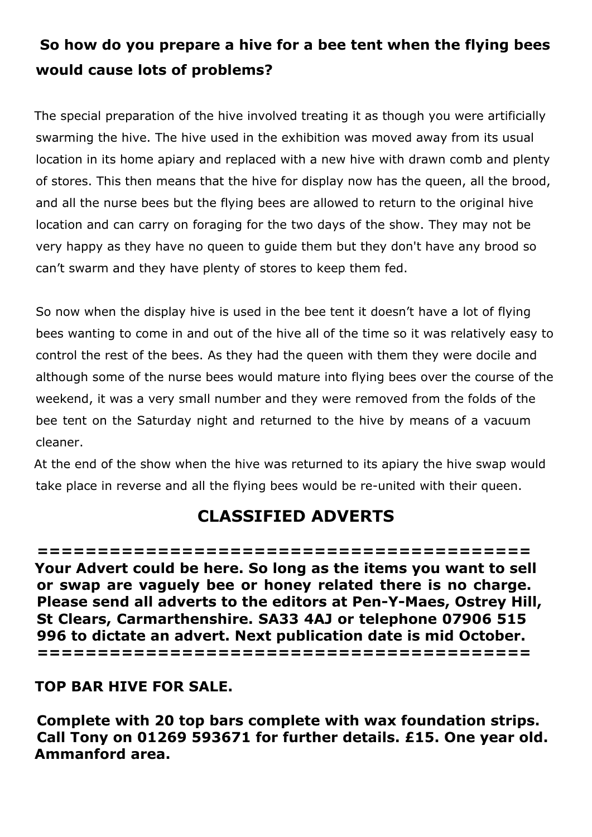# **So how do you prepare a hive for a bee tent when the flying bees would cause lots of problems?**

The special preparation of the hive involved treating it as though you were artificially swarming the hive. The hive used in the exhibition was moved away from its usual location in its home apiary and replaced with a new hive with drawn comb and plenty of stores. This then means that the hive for display now has the queen, all the brood, and all the nurse bees but the flying bees are allowed to return to the original hive location and can carry on foraging for the two days of the show. They may not be very happy as they have no queen to guide them but they don't have any brood so can't swarm and they have plenty of stores to keep them fed.

So now when the display hive is used in the bee tent it doesn't have a lot of flying bees wanting to come in and out of the hive all of the time so it was relatively easy to control the rest of the bees. As they had the queen with them they were docile and although some of the nurse bees would mature into flying bees over the course of the weekend, it was a very small number and they were removed from the folds of the bee tent on the Saturday night and returned to the hive by means of a vacuum cleaner.

At the end of the show when the hive was returned to its apiary the hive swap would take place in reverse and all the flying bees would be re-united with their queen.

# **CLASSIFIED ADVERTS**

**========================================= Your Advert could be here. So long as the items you want to sell or swap are vaguely bee or honey related there is no charge. Please send all adverts to the editors at Pen-Y-Maes, Ostrey Hill, St Clears, Carmarthenshire. SA33 4AJ or telephone 07906 515 996 to dictate an advert. Next publication date is mid October. =========================================**

#### **TOP BAR HIVE FOR SALE.**

**Complete with 20 top bars complete with wax foundation strips. Call Tony on 01269 593671 for further details. £15. One year old. Ammanford area.**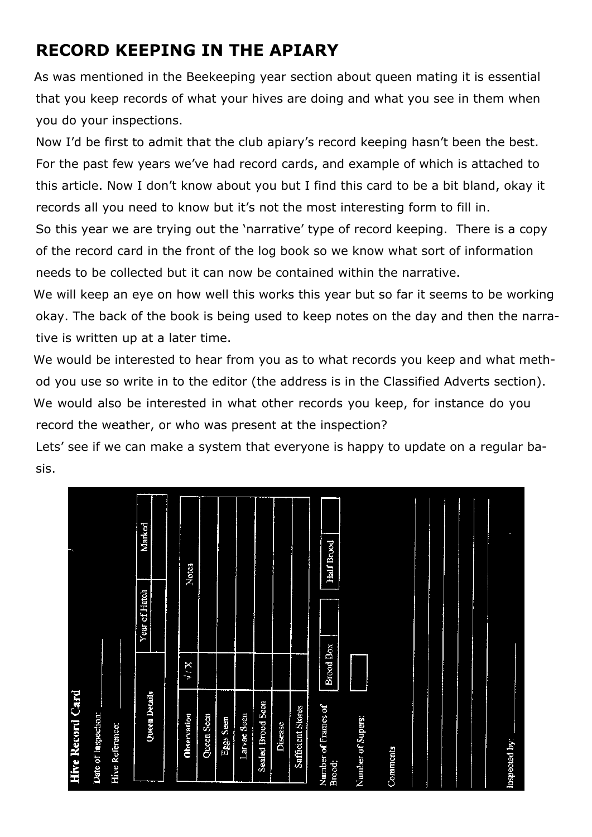# **RECORD KEEPING IN THE APIARY**

As was mentioned in the Beekeeping year section about queen mating it is essential that you keep records of what your hives are doing and what you see in them when you do your inspections.

Now I'd be first to admit that the club apiary's record keeping hasn't been the best. For the past few years we've had record cards, and example of which is attached to this article. Now I don't know about you but I find this card to be a bit bland, okay it records all you need to know but it's not the most interesting form to fill in.

So this year we are trying out the 'narrative' type of record keeping. There is a copy of the record card in the front of the log book so we know what sort of information needs to be collected but it can now be contained within the narrative.

We will keep an eye on how well this works this year but so far it seems to be working okay. The back of the book is being used to keep notes on the day and then the narrative is written up at a later time.

We would be interested to hear from you as to what records you keep and what method you use so write in to the editor (the address is in the Classified Adverts section). We would also be interested in what other records you keep, for instance do you record the weather, or who was present at the inspection?

Lets' see if we can make a system that everyone is happy to update on a regular basis.

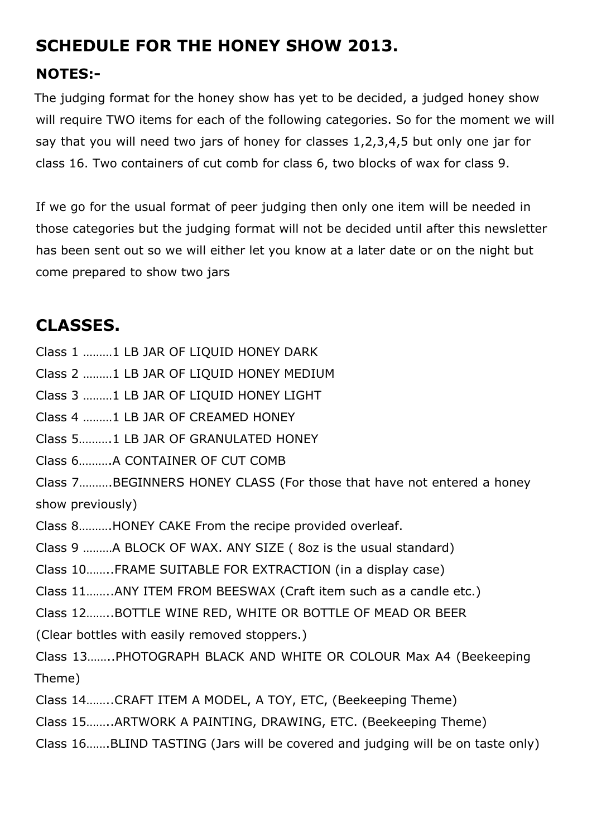# **SCHEDULE FOR THE HONEY SHOW 2013.**

### **NOTES:-**

The judging format for the honey show has yet to be decided, a judged honey show will require TWO items for each of the following categories. So for the moment we will say that you will need two jars of honey for classes 1,2,3,4,5 but only one jar for class 16. Two containers of cut comb for class 6, two blocks of wax for class 9.

If we go for the usual format of peer judging then only one item will be needed in those categories but the judging format will not be decided until after this newsletter has been sent out so we will either let you know at a later date or on the night but come prepared to show two jars

# **CLASSES.**

Class 1 ………1 LB JAR OF LIQUID HONEY DARK

Class 2 ………1 LB JAR OF LIQUID HONEY MEDIUM

Class 3 ………1 LB JAR OF LIQUID HONEY LIGHT

Class 4 ………1 LB JAR OF CREAMED HONEY

Class 5……….1 LB JAR OF GRANULATED HONEY

Class 6……….A CONTAINER OF CUT COMB

Class 7……….BEGINNERS HONEY CLASS (For those that have not entered a honey show previously)

Class 8……….HONEY CAKE From the recipe provided overleaf.

Class 9 ………A BLOCK OF WAX. ANY SIZE ( 8oz is the usual standard)

Class 10……..FRAME SUITABLE FOR EXTRACTION (in a display case)

Class 11……..ANY ITEM FROM BEESWAX (Craft item such as a candle etc.)

Class 12……..BOTTLE WINE RED, WHITE OR BOTTLE OF MEAD OR BEER

(Clear bottles with easily removed stoppers.)

Class 13……..PHOTOGRAPH BLACK AND WHITE OR COLOUR Max A4 (Beekeeping Theme)

Class 14……..CRAFT ITEM A MODEL, A TOY, ETC, (Beekeeping Theme)

Class 15……..ARTWORK A PAINTING, DRAWING, ETC. (Beekeeping Theme)

Class 16…….BLIND TASTING (Jars will be covered and judging will be on taste only)